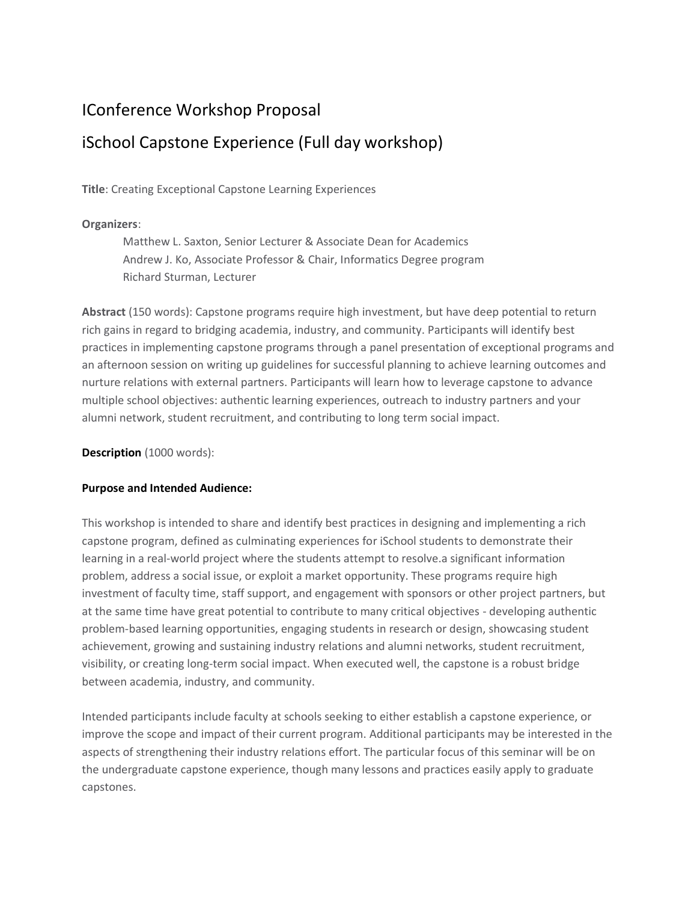## IConference Workshop Proposal

# iSchool Capstone Experience (Full day workshop)

**Title**: Creating Exceptional Capstone Learning Experiences

## **Organizers**:

Matthew L. Saxton, Senior Lecturer & Associate Dean for Academics Andrew J. Ko, Associate Professor & Chair, Informatics Degree program Richard Sturman, Lecturer

**Abstract** (150 words): Capstone programs require high investment, but have deep potential to return rich gains in regard to bridging academia, industry, and community. Participants will identify best practices in implementing capstone programs through a panel presentation of exceptional programs and an afternoon session on writing up guidelines for successful planning to achieve learning outcomes and nurture relations with external partners. Participants will learn how to leverage capstone to advance multiple school objectives: authentic learning experiences, outreach to industry partners and your alumni network, student recruitment, and contributing to long term social impact.

**Description** (1000 words):

#### **Purpose and Intended Audience:**

This workshop is intended to share and identify best practices in designing and implementing a rich capstone program, defined as culminating experiences for iSchool students to demonstrate their learning in a real-world project where the students attempt to resolve.a significant information problem, address a social issue, or exploit a market opportunity. These programs require high investment of faculty time, staff support, and engagement with sponsors or other project partners, but at the same time have great potential to contribute to many critical objectives - developing authentic problem-based learning opportunities, engaging students in research or design, showcasing student achievement, growing and sustaining industry relations and alumni networks, student recruitment, visibility, or creating long-term social impact. When executed well, the capstone is a robust bridge between academia, industry, and community.

Intended participants include faculty at schools seeking to either establish a capstone experience, or improve the scope and impact of their current program. Additional participants may be interested in the aspects of strengthening their industry relations effort. The particular focus of this seminar will be on the undergraduate capstone experience, though many lessons and practices easily apply to graduate capstones.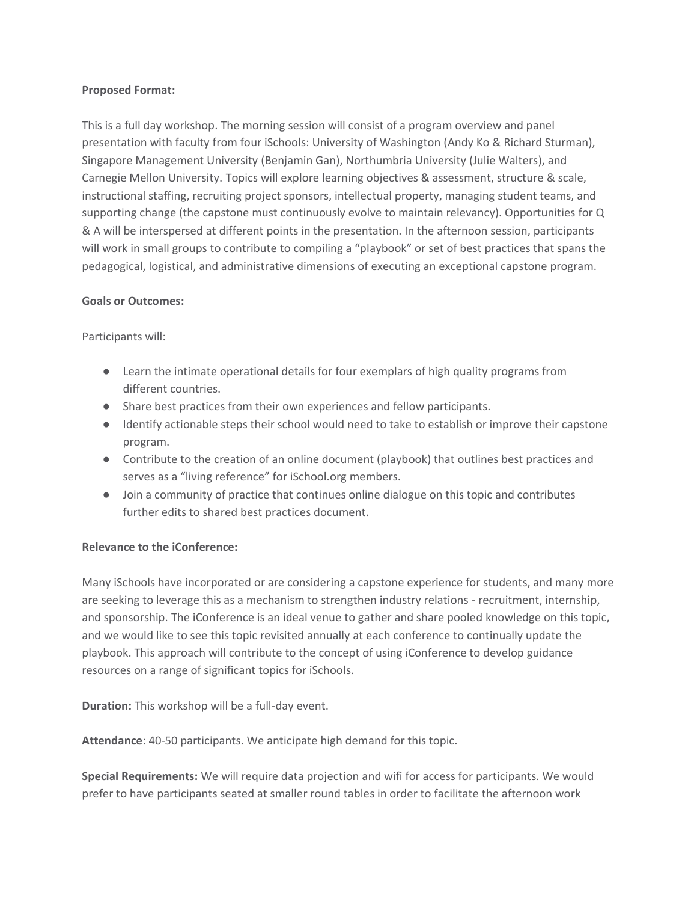#### **Proposed Format:**

This is a full day workshop. The morning session will consist of a program overview and panel presentation with faculty from four iSchools: University of Washington (Andy Ko & Richard Sturman), Singapore Management University (Benjamin Gan), Northumbria University (Julie Walters), and Carnegie Mellon University. Topics will explore learning objectives & assessment, structure & scale, instructional staffing, recruiting project sponsors, intellectual property, managing student teams, and supporting change (the capstone must continuously evolve to maintain relevancy). Opportunities for Q & A will be interspersed at different points in the presentation. In the afternoon session, participants will work in small groups to contribute to compiling a "playbook" or set of best practices that spans the pedagogical, logistical, and administrative dimensions of executing an exceptional capstone program.

### **Goals or Outcomes:**

Participants will:

- Learn the intimate operational details for four exemplars of high quality programs from different countries.
- Share best practices from their own experiences and fellow participants.
- Identify actionable steps their school would need to take to establish or improve their capstone program.
- Contribute to the creation of an online document (playbook) that outlines best practices and serves as a "living reference" for iSchool.org members.
- Join a community of practice that continues online dialogue on this topic and contributes further edits to shared best practices document.

## **Relevance to the iConference:**

Many iSchools have incorporated or are considering a capstone experience for students, and many more are seeking to leverage this as a mechanism to strengthen industry relations - recruitment, internship, and sponsorship. The iConference is an ideal venue to gather and share pooled knowledge on this topic, and we would like to see this topic revisited annually at each conference to continually update the playbook. This approach will contribute to the concept of using iConference to develop guidance resources on a range of significant topics for iSchools.

**Duration:** This workshop will be a full-day event.

**Attendance**: 40-50 participants. We anticipate high demand for this topic.

**Special Requirements:** We will require data projection and wifi for access for participants. We would prefer to have participants seated at smaller round tables in order to facilitate the afternoon work